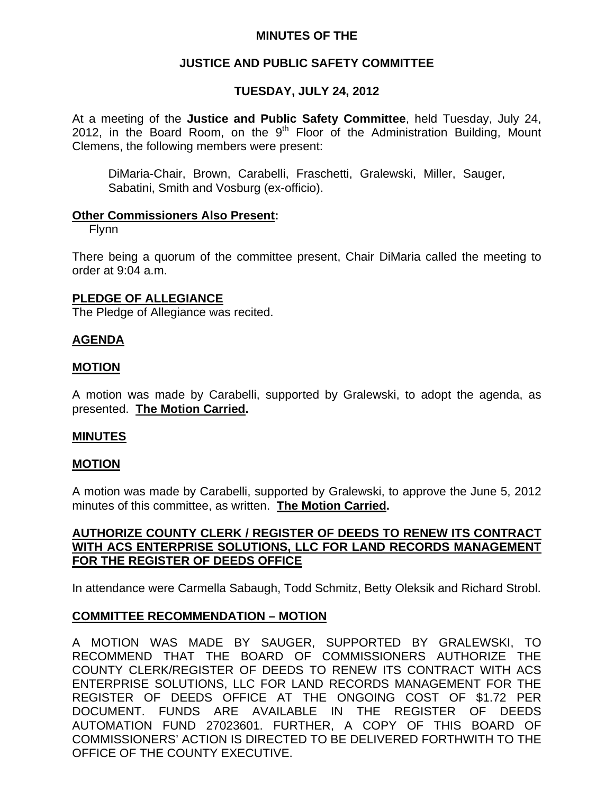## **MINUTES OF THE**

# **JUSTICE AND PUBLIC SAFETY COMMITTEE**

# **TUESDAY, JULY 24, 2012**

At a meeting of the **Justice and Public Safety Committee**, held Tuesday, July 24, 2012, in the Board Room, on the  $9<sup>th</sup>$  Floor of the Administration Building, Mount Clemens, the following members were present:

DiMaria-Chair, Brown, Carabelli, Fraschetti, Gralewski, Miller, Sauger, Sabatini, Smith and Vosburg (ex-officio).

### **Other Commissioners Also Present:**

Flynn

There being a quorum of the committee present, Chair DiMaria called the meeting to order at 9:04 a.m.

### **PLEDGE OF ALLEGIANCE**

The Pledge of Allegiance was recited.

## **AGENDA**

## **MOTION**

A motion was made by Carabelli, supported by Gralewski, to adopt the agenda, as presented. **The Motion Carried.** 

### **MINUTES**

### **MOTION**

A motion was made by Carabelli, supported by Gralewski, to approve the June 5, 2012 minutes of this committee, as written. **The Motion Carried.** 

## **AUTHORIZE COUNTY CLERK / REGISTER OF DEEDS TO RENEW ITS CONTRACT WITH ACS ENTERPRISE SOLUTIONS, LLC FOR LAND RECORDS MANAGEMENT FOR THE REGISTER OF DEEDS OFFICE**

In attendance were Carmella Sabaugh, Todd Schmitz, Betty Oleksik and Richard Strobl.

### **COMMITTEE RECOMMENDATION – MOTION**

A MOTION WAS MADE BY SAUGER, SUPPORTED BY GRALEWSKI, TO RECOMMEND THAT THE BOARD OF COMMISSIONERS AUTHORIZE THE COUNTY CLERK/REGISTER OF DEEDS TO RENEW ITS CONTRACT WITH ACS ENTERPRISE SOLUTIONS, LLC FOR LAND RECORDS MANAGEMENT FOR THE REGISTER OF DEEDS OFFICE AT THE ONGOING COST OF \$1.72 PER DOCUMENT. FUNDS ARE AVAILABLE IN THE REGISTER OF DEEDS AUTOMATION FUND 27023601. FURTHER, A COPY OF THIS BOARD OF COMMISSIONERS' ACTION IS DIRECTED TO BE DELIVERED FORTHWITH TO THE OFFICE OF THE COUNTY EXECUTIVE.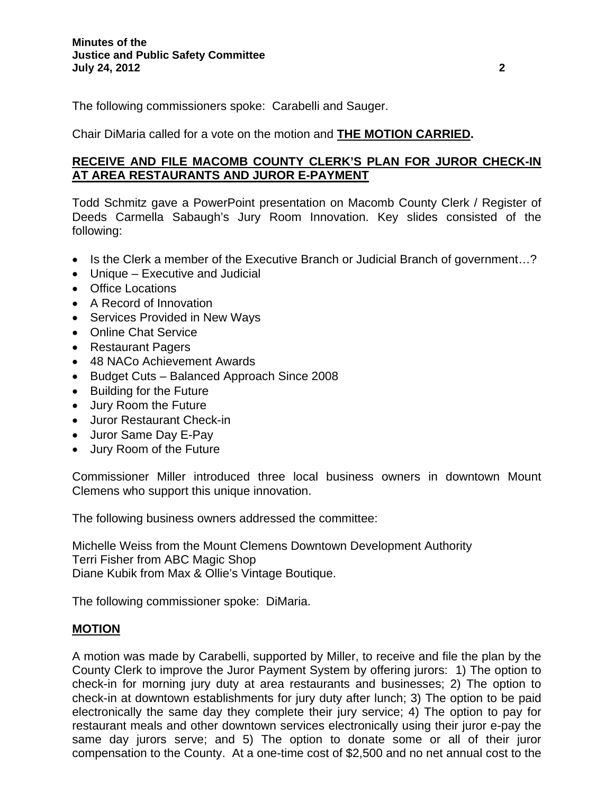The following commissioners spoke: Carabelli and Sauger.

Chair DiMaria called for a vote on the motion and **THE MOTION CARRIED.** 

# **RECEIVE AND FILE MACOMB COUNTY CLERK'S PLAN FOR JUROR CHECK-IN AT AREA RESTAURANTS AND JUROR E-PAYMENT**

Todd Schmitz gave a PowerPoint presentation on Macomb County Clerk / Register of Deeds Carmella Sabaugh's Jury Room Innovation. Key slides consisted of the following:

- Is the Clerk a member of the Executive Branch or Judicial Branch of government...?
- Unique Executive and Judicial
- Office Locations
- A Record of Innovation
- Services Provided in New Ways
- Online Chat Service
- Restaurant Pagers
- 48 NACo Achievement Awards
- Budget Cuts Balanced Approach Since 2008
- Building for the Future
- Jury Room the Future
- Juror Restaurant Check-in
- Juror Same Day E-Pay
- Jury Room of the Future

Commissioner Miller introduced three local business owners in downtown Mount Clemens who support this unique innovation.

The following business owners addressed the committee:

Michelle Weiss from the Mount Clemens Downtown Development Authority Terri Fisher from ABC Magic Shop Diane Kubik from Max & Ollie's Vintage Boutique.

The following commissioner spoke: DiMaria.

# **MOTION**

A motion was made by Carabelli, supported by Miller, to receive and file the plan by the County Clerk to improve the Juror Payment System by offering jurors: 1) The option to check-in for morning jury duty at area restaurants and businesses; 2) The option to check-in at downtown establishments for jury duty after lunch; 3) The option to be paid electronically the same day they complete their jury service; 4) The option to pay for restaurant meals and other downtown services electronically using their juror e-pay the same day jurors serve; and 5) The option to donate some or all of their juror compensation to the County. At a one-time cost of \$2,500 and no net annual cost to the